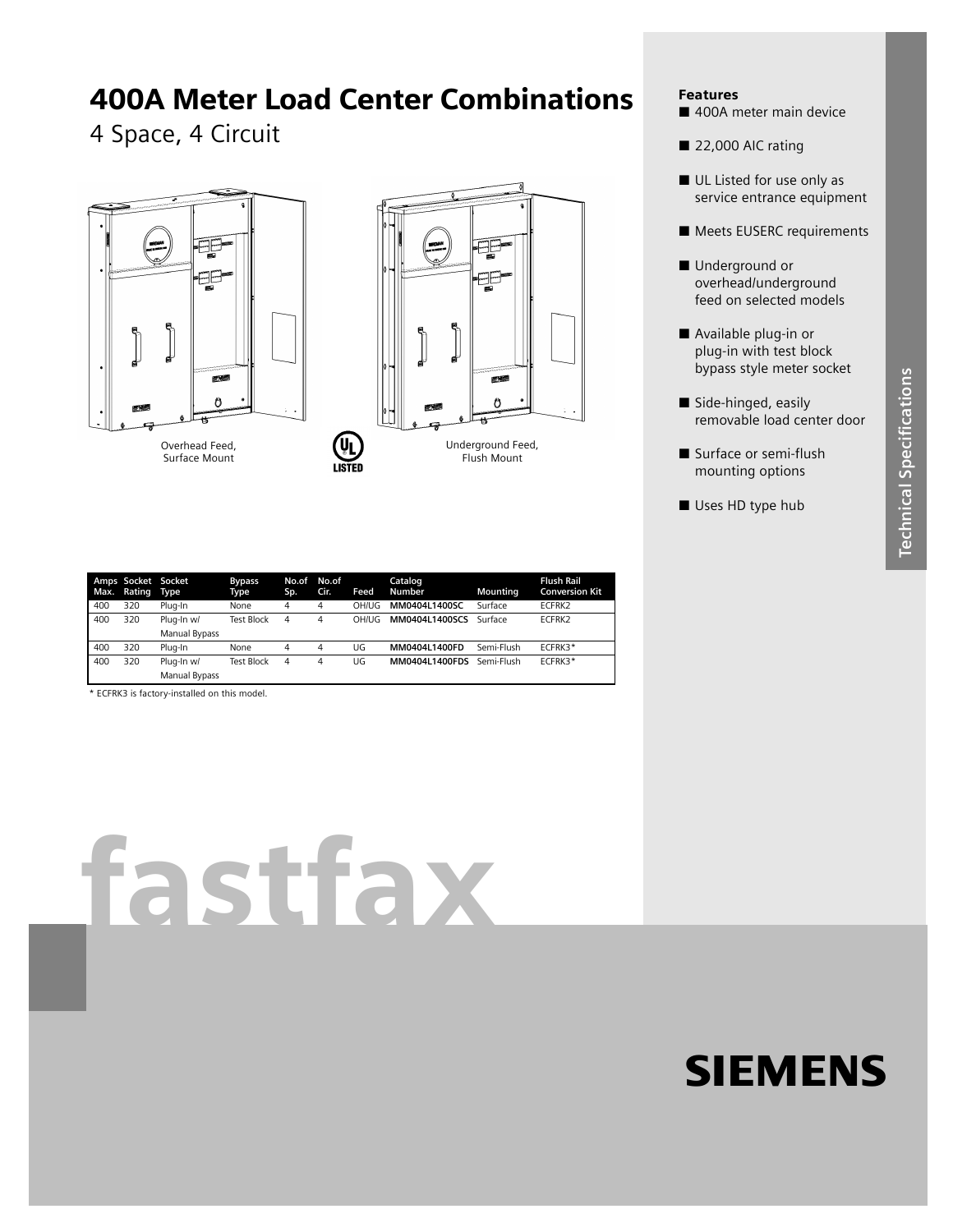# 400A Meter Load Center Combinations

## 4 Space, 4 Circuit





### Features

- 400A meter main device
- 22,000 AIC rating
- UL Listed for use only as service entrance equipment
- **Meets EUSERC requirements**
- Underground or overhead/underground feed on selected models
- Available plug-in or plug-in with test block bypass style meter socket
- Side-hinged, easily removable load center door
- Surface or semi-flush mounting options
- Uses HD type hub

| Max. | Amps Socket Socket<br>Rating Type |               | <b>Bypass</b><br>Type | No.of<br>Sp. | No.of<br>Cir. | <b>Feed</b> | Catalog<br>Number | Mounting   | <b>Flush Rail</b><br><b>Conversion Kit</b> |
|------|-----------------------------------|---------------|-----------------------|--------------|---------------|-------------|-------------------|------------|--------------------------------------------|
| 400  | 320                               | Plua-In       | None                  | 4            | 4             | OH/UG       | MM0404L1400SC     | Surface    | ECFRK2                                     |
| 400  | 320                               | Plug-In w/    | <b>Test Block</b>     | 4            | 4             | OH/UG       | MM0404L1400SCS    | Surface    | ECFRK2                                     |
|      |                                   | Manual Bypass |                       |              |               |             |                   |            |                                            |
| 400  | 320                               | Plug-In       | None                  | 4            | 4             | UG          | MM0404L1400FD     | Semi-Flush | ECFRK3*                                    |
| 400  | 320                               | Plug-In w/    | <b>Test Block</b>     | 4            | 4             | UG          | MM0404L1400FDS    | Semi-Flush | ECFRK3*                                    |
|      |                                   | Manual Bypass |                       |              |               |             |                   |            |                                            |

\* ECFRK3 is factory-installed on this model.

# fastfax